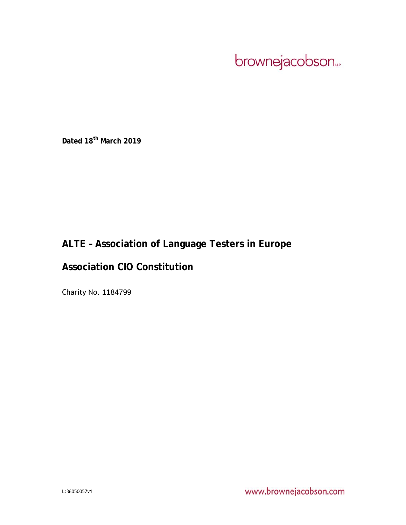brownejacobson...

**Dated 18th March 2019** 

# **ALTE – Association of Language Testers in Europe**

# **Association CIO Constitution**

Charity No. 1184799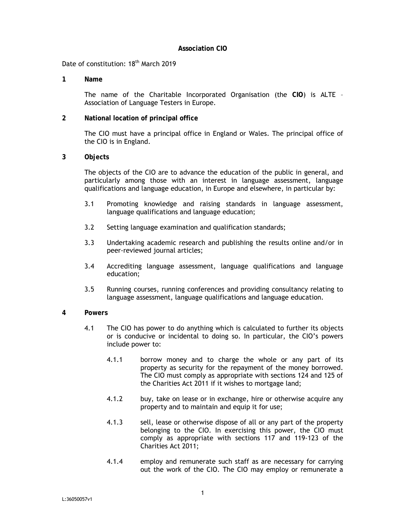#### **Association CIO**

# Date of constitution: 18<sup>th</sup> March 2019

**1 Name** 

The name of the Charitable Incorporated Organisation (the **CIO**) is ALTE – Association of Language Testers in Europe.

# **2 National location of principal office**

The CIO must have a principal office in England or Wales. The principal office of the CIO is in England.

**3 Objects** 

The objects of the CIO are to advance the education of the public in general, and particularly among those with an interest in language assessment, language qualifications and language education, in Europe and elsewhere, in particular by:

- 3.1 Promoting knowledge and raising standards in language assessment, language qualifications and language education;
- 3.2 Setting language examination and qualification standards;
- 3.3 Undertaking academic research and publishing the results online and/or in peer-reviewed journal articles;
- 3.4 Accrediting language assessment, language qualifications and language education;
- 3.5 Running courses, running conferences and providing consultancy relating to language assessment, language qualifications and language education.

#### **4 Powers**

- 4.1 The CIO has power to do anything which is calculated to further its objects or is conducive or incidental to doing so. In particular, the CIO's powers include power to:
	- 4.1.1 borrow money and to charge the whole or any part of its property as security for the repayment of the money borrowed. The CIO must comply as appropriate with sections 124 and 125 of the Charities Act 2011 if it wishes to mortgage land;
	- 4.1.2 buy, take on lease or in exchange, hire or otherwise acquire any property and to maintain and equip it for use;
	- 4.1.3 sell, lease or otherwise dispose of all or any part of the property belonging to the CIO. In exercising this power, the CIO must comply as appropriate with sections 117 and 119-123 of the Charities Act 2011;
	- 4.1.4 employ and remunerate such staff as are necessary for carrying out the work of the CIO. The CIO may employ or remunerate a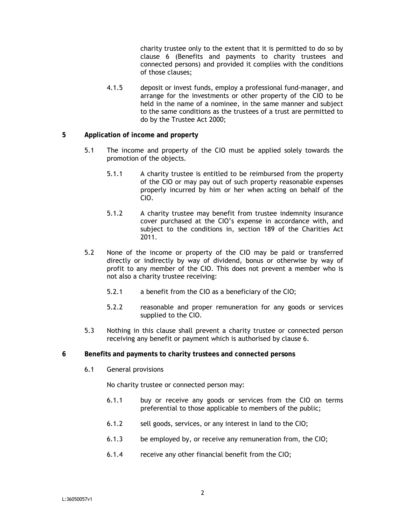charity trustee only to the extent that it is permitted to do so by clause 6 (Benefits and payments to charity trustees and connected persons) and provided it complies with the conditions of those clauses;

- 4.1.5 deposit or invest funds, employ a professional fund-manager, and arrange for the investments or other property of the CIO to be held in the name of a nominee, in the same manner and subject to the same conditions as the trustees of a trust are permitted to do by the Trustee Act 2000;
- **5 Application of income and property** 
	- 5.1 The income and property of the CIO must be applied solely towards the promotion of the objects.
		- 5.1.1 A charity trustee is entitled to be reimbursed from the property of the CIO or may pay out of such property reasonable expenses properly incurred by him or her when acting on behalf of the CIO.
		- 5.1.2 A charity trustee may benefit from trustee indemnity insurance cover purchased at the CIO's expense in accordance with, and subject to the conditions in, section 189 of the Charities Act 2011.
	- 5.2 None of the income or property of the CIO may be paid or transferred directly or indirectly by way of dividend, bonus or otherwise by way of profit to any member of the CIO. This does not prevent a member who is not also a charity trustee receiving:
		- 5.2.1 a benefit from the CIO as a beneficiary of the CIO;
		- 5.2.2 reasonable and proper remuneration for any goods or services supplied to the CIO.
	- 5.3 Nothing in this clause shall prevent a charity trustee or connected person receiving any benefit or payment which is authorised by clause 6.
- **6 Benefits and payments to charity trustees and connected persons** 
	- 6.1 General provisions

No charity trustee or connected person may:

- 6.1.1 buy or receive any goods or services from the CIO on terms preferential to those applicable to members of the public;
- 6.1.2 sell goods, services, or any interest in land to the CIO;
- 6.1.3 be employed by, or receive any remuneration from, the CIO;
- 6.1.4 receive any other financial benefit from the CIO;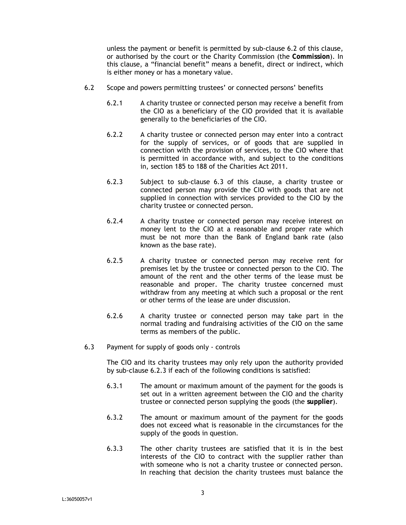unless the payment or benefit is permitted by sub-clause 6.2 of this clause, or authorised by the court or the Charity Commission (the **Commission**). In this clause, a "financial benefit" means a benefit, direct or indirect, which is either money or has a monetary value.

- 6.2 Scope and powers permitting trustees' or connected persons' benefits
	- 6.2.1 A charity trustee or connected person may receive a benefit from the CIO as a beneficiary of the CIO provided that it is available generally to the beneficiaries of the CIO.
	- 6.2.2 A charity trustee or connected person may enter into a contract for the supply of services, or of goods that are supplied in connection with the provision of services, to the CIO where that is permitted in accordance with, and subject to the conditions in, section 185 to 188 of the Charities Act 2011.
	- 6.2.3 Subject to sub-clause 6.3 of this clause, a charity trustee or connected person may provide the CIO with goods that are not supplied in connection with services provided to the CIO by the charity trustee or connected person.
	- 6.2.4 A charity trustee or connected person may receive interest on money lent to the CIO at a reasonable and proper rate which must be not more than the Bank of England bank rate (also known as the base rate).
	- 6.2.5 A charity trustee or connected person may receive rent for premises let by the trustee or connected person to the CIO. The amount of the rent and the other terms of the lease must be reasonable and proper. The charity trustee concerned must withdraw from any meeting at which such a proposal or the rent or other terms of the lease are under discussion.
	- 6.2.6 A charity trustee or connected person may take part in the normal trading and fundraising activities of the CIO on the same terms as members of the public.
- 6.3 Payment for supply of goods only controls

The CIO and its charity trustees may only rely upon the authority provided by sub-clause 6.2.3 if each of the following conditions is satisfied:

- 6.3.1 The amount or maximum amount of the payment for the goods is set out in a written agreement between the CIO and the charity trustee or connected person supplying the goods (the **supplier**).
- 6.3.2 The amount or maximum amount of the payment for the goods does not exceed what is reasonable in the circumstances for the supply of the goods in question.
- 6.3.3 The other charity trustees are satisfied that it is in the best interests of the CIO to contract with the supplier rather than with someone who is not a charity trustee or connected person. In reaching that decision the charity trustees must balance the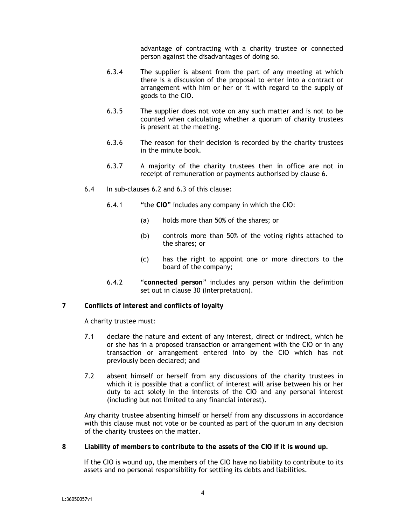advantage of contracting with a charity trustee or connected person against the disadvantages of doing so.

- 6.3.4 The supplier is absent from the part of any meeting at which there is a discussion of the proposal to enter into a contract or arrangement with him or her or it with regard to the supply of goods to the CIO.
- 6.3.5 The supplier does not vote on any such matter and is not to be counted when calculating whether a quorum of charity trustees is present at the meeting.
- 6.3.6 The reason for their decision is recorded by the charity trustees in the minute book.
- 6.3.7 A majority of the charity trustees then in office are not in receipt of remuneration or payments authorised by clause 6.
- 6.4 In sub-clauses 6.2 and 6.3 of this clause:
	- 6.4.1 "the **CIO**" includes any company in which the CIO:
		- (a) holds more than 50% of the shares; or
		- (b) controls more than 50% of the voting rights attached to the shares; or
		- (c) has the right to appoint one or more directors to the board of the company;
	- 6.4.2 "**connected person**" includes any person within the definition set out in clause 30 (Interpretation).

#### **7 Conflicts of interest and conflicts of loyalty**

A charity trustee must:

- 7.1 declare the nature and extent of any interest, direct or indirect, which he or she has in a proposed transaction or arrangement with the CIO or in any transaction or arrangement entered into by the CIO which has not previously been declared; and
- 7.2 absent himself or herself from any discussions of the charity trustees in which it is possible that a conflict of interest will arise between his or her duty to act solely in the interests of the CIO and any personal interest (including but not limited to any financial interest).

Any charity trustee absenting himself or herself from any discussions in accordance with this clause must not vote or be counted as part of the quorum in any decision of the charity trustees on the matter.

**8 Liability of members to contribute to the assets of the CIO if it is wound up.** 

If the CIO is wound up, the members of the CIO have no liability to contribute to its assets and no personal responsibility for settling its debts and liabilities.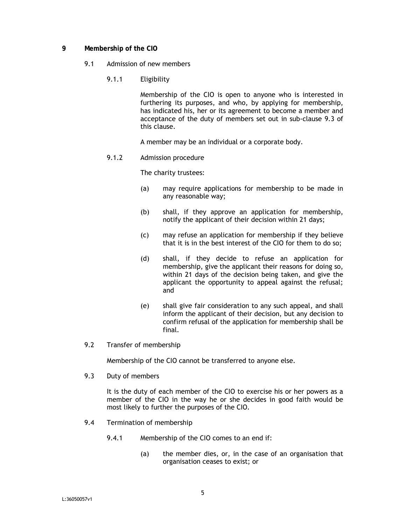# **9 Membership of the CIO**

- 9.1 Admission of new members
	- 9.1.1 Eligibility

Membership of the CIO is open to anyone who is interested in furthering its purposes, and who, by applying for membership, has indicated his, her or its agreement to become a member and acceptance of the duty of members set out in sub-clause 9.3 of this clause.

A member may be an individual or a corporate body.

9.1.2 Admission procedure

The charity trustees:

- (a) may require applications for membership to be made in any reasonable way;
- (b) shall, if they approve an application for membership, notify the applicant of their decision within 21 days;
- (c) may refuse an application for membership if they believe that it is in the best interest of the CIO for them to do so;
- (d) shall, if they decide to refuse an application for membership, give the applicant their reasons for doing so, within 21 days of the decision being taken, and give the applicant the opportunity to appeal against the refusal; and
- (e) shall give fair consideration to any such appeal, and shall inform the applicant of their decision, but any decision to confirm refusal of the application for membership shall be final.
- 9.2 Transfer of membership

Membership of the CIO cannot be transferred to anyone else.

9.3 Duty of members

It is the duty of each member of the CIO to exercise his or her powers as a member of the CIO in the way he or she decides in good faith would be most likely to further the purposes of the CIO.

- 9.4 Termination of membership
	- 9.4.1 Membership of the CIO comes to an end if:
		- (a) the member dies, or, in the case of an organisation that organisation ceases to exist; or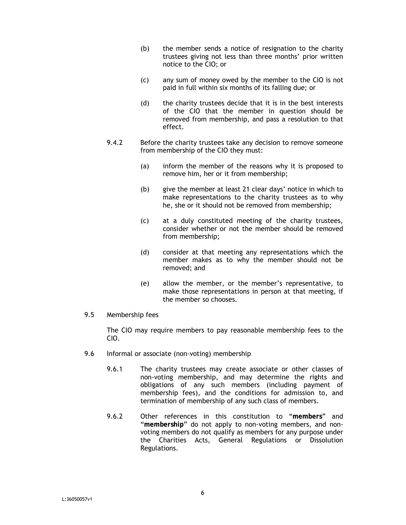- (b) the member sends a notice of resignation to the charity trustees giving not less than three months' prior written notice to the CIO; or
- (c) any sum of money owed by the member to the CIO is not paid in full within six months of its falling due; or
- (d) the charity trustees decide that it is in the best interests of the CIO that the member in question should be removed from membership, and pass a resolution to that effect.
- 9.4.2 Before the charity trustees take any decision to remove someone from membership of the CIO they must:
	- (a) inform the member of the reasons why it is proposed to remove him, her or it from membership;
	- (b) give the member at least 21 clear days' notice in which to make representations to the charity trustees as to why he, she or it should not be removed from membership;
	- (c) at a duly constituted meeting of the charity trustees, consider whether or not the member should be removed from membership;
	- (d) consider at that meeting any representations which the member makes as to why the member should not be removed; and
	- (e) allow the member, or the member's representative, to make those representations in person at that meeting, if the member so chooses.
- 9.5 Membership fees

The CIO may require members to pay reasonable membership fees to the CIO.

- 9.6 Informal or associate (non-voting) membership
	- 9.6.1 The charity trustees may create associate or other classes of non-voting membership, and may determine the rights and obligations of any such members (including payment of membership fees), and the conditions for admission to, and termination of membership of any such class of members.
	- 9.6.2 Other references in this constitution to "**members**" and "**membership**" do not apply to non-voting members, and nonvoting members do not qualify as members for any purpose under the Charities Acts, General Regulations or Dissolution Regulations.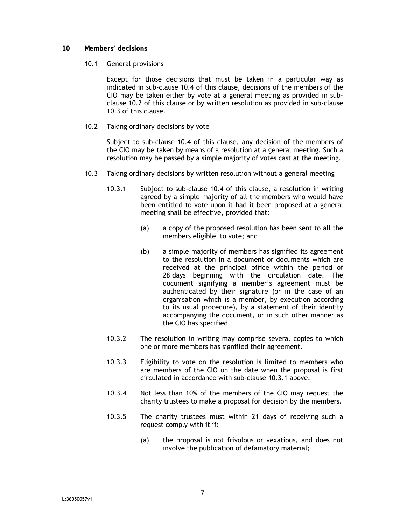#### **10 Members' decisions**

#### 10.1 General provisions

Except for those decisions that must be taken in a particular way as indicated in sub-clause 10.4 of this clause, decisions of the members of the CIO may be taken either by vote at a general meeting as provided in subclause 10.2 of this clause or by written resolution as provided in sub-clause 10.3 of this clause.

10.2 Taking ordinary decisions by vote

Subject to sub-clause 10.4 of this clause, any decision of the members of the CIO may be taken by means of a resolution at a general meeting. Such a resolution may be passed by a simple majority of votes cast at the meeting.

- 10.3 Taking ordinary decisions by written resolution without a general meeting
	- 10.3.1 Subject to sub-clause 10.4 of this clause, a resolution in writing agreed by a simple majority of all the members who would have been entitled to vote upon it had it been proposed at a general meeting shall be effective, provided that:
		- (a) a copy of the proposed resolution has been sent to all the members eligible to vote; and
		- (b) a simple majority of members has signified its agreement to the resolution in a document or documents which are received at the principal office within the period of 28 days beginning with the circulation date. The document signifying a member's agreement must be authenticated by their signature (or in the case of an organisation which is a member, by execution according to its usual procedure), by a statement of their identity accompanying the document, or in such other manner as the CIO has specified.
	- 10.3.2 The resolution in writing may comprise several copies to which one or more members has signified their agreement.
	- 10.3.3 Eligibility to vote on the resolution is limited to members who are members of the CIO on the date when the proposal is first circulated in accordance with sub-clause 10.3.1 above.
	- 10.3.4 Not less than 10% of the members of the CIO may request the charity trustees to make a proposal for decision by the members.
	- 10.3.5 The charity trustees must within 21 days of receiving such a request comply with it if:
		- (a) the proposal is not frivolous or vexatious, and does not involve the publication of defamatory material;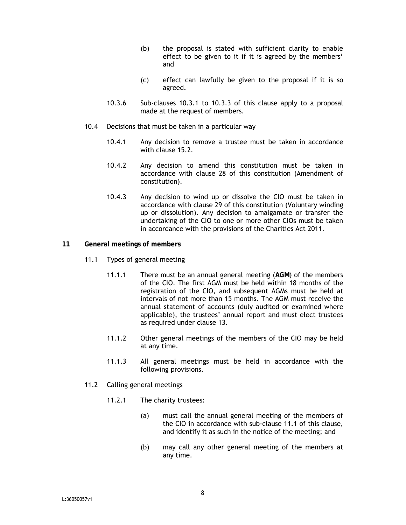- (b) the proposal is stated with sufficient clarity to enable effect to be given to it if it is agreed by the members' and
- (c) effect can lawfully be given to the proposal if it is so agreed.
- 10.3.6 Sub-clauses 10.3.1 to 10.3.3 of this clause apply to a proposal made at the request of members.
- 10.4 Decisions that must be taken in a particular way
	- 10.4.1 Any decision to remove a trustee must be taken in accordance with clause 15.2.
	- 10.4.2 Any decision to amend this constitution must be taken in accordance with clause 28 of this constitution (Amendment of constitution).
	- 10.4.3 Any decision to wind up or dissolve the CIO must be taken in accordance with clause 29 of this constitution (Voluntary winding up or dissolution). Any decision to amalgamate or transfer the undertaking of the CIO to one or more other CIOs must be taken in accordance with the provisions of the Charities Act 2011.

#### **11 General meetings of members**

- 11.1 Types of general meeting
	- 11.1.1 There must be an annual general meeting (**AGM**) of the members of the CIO. The first AGM must be held within 18 months of the registration of the CIO, and subsequent AGMs must be held at intervals of not more than 15 months. The AGM must receive the annual statement of accounts (duly audited or examined where applicable), the trustees' annual report and must elect trustees as required under clause 13.
	- 11.1.2 Other general meetings of the members of the CIO may be held at any time.
	- 11.1.3 All general meetings must be held in accordance with the following provisions.
- 11.2 Calling general meetings
	- 11.2.1 The charity trustees:
		- (a) must call the annual general meeting of the members of the CIO in accordance with sub-clause 11.1 of this clause, and identify it as such in the notice of the meeting; and
		- (b) may call any other general meeting of the members at any time.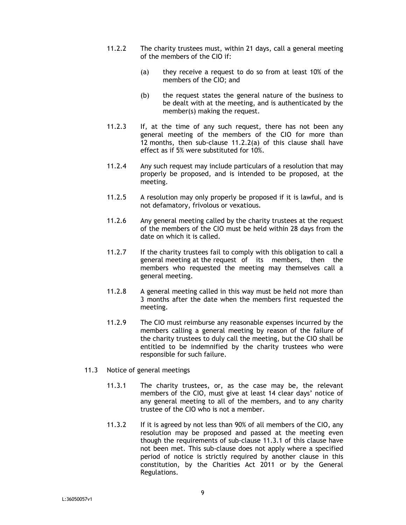- 11.2.2 The charity trustees must, within 21 days, call a general meeting of the members of the CIO if:
	- (a) they receive a request to do so from at least 10% of the members of the CIO; and
	- (b) the request states the general nature of the business to be dealt with at the meeting, and is authenticated by the member(s) making the request.
- 11.2.3 If, at the time of any such request, there has not been any general meeting of the members of the CIO for more than 12 months, then sub-clause 11.2.2(a) of this clause shall have effect as if 5% were substituted for 10%.
- 11.2.4 Any such request may include particulars of a resolution that may properly be proposed, and is intended to be proposed, at the meeting.
- 11.2.5 A resolution may only properly be proposed if it is lawful, and is not defamatory, frivolous or vexatious.
- 11.2.6 Any general meeting called by the charity trustees at the request of the members of the CIO must be held within 28 days from the date on which it is called.
- 11.2.7 If the charity trustees fail to comply with this obligation to call a general meeting at the request of its members, then the members who requested the meeting may themselves call a general meeting.
- 11.2.8 A general meeting called in this way must be held not more than 3 months after the date when the members first requested the meeting.
- 11.2.9 The CIO must reimburse any reasonable expenses incurred by the members calling a general meeting by reason of the failure of the charity trustees to duly call the meeting, but the CIO shall be entitled to be indemnified by the charity trustees who were responsible for such failure.
- 11.3 Notice of general meetings
	- 11.3.1 The charity trustees, or, as the case may be, the relevant members of the CIO, must give at least 14 clear days' notice of any general meeting to all of the members, and to any charity trustee of the CIO who is not a member.
	- 11.3.2 If it is agreed by not less than 90% of all members of the CIO, any resolution may be proposed and passed at the meeting even though the requirements of sub-clause 11.3.1 of this clause have not been met. This sub-clause does not apply where a specified period of notice is strictly required by another clause in this constitution, by the Charities Act 2011 or by the General Regulations.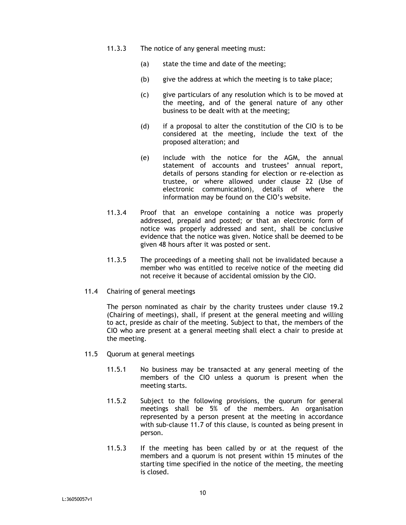- 11.3.3 The notice of any general meeting must:
	- (a) state the time and date of the meeting;
	- (b) give the address at which the meeting is to take place;
	- (c) give particulars of any resolution which is to be moved at the meeting, and of the general nature of any other business to be dealt with at the meeting;
	- (d) if a proposal to alter the constitution of the CIO is to be considered at the meeting, include the text of the proposed alteration; and
	- (e) include with the notice for the AGM, the annual statement of accounts and trustees' annual report, details of persons standing for election or re-election as trustee, or where allowed under clause 22 (Use of electronic communication), details of where the information may be found on the CIO's website.
- 11.3.4 Proof that an envelope containing a notice was properly addressed, prepaid and posted; or that an electronic form of notice was properly addressed and sent, shall be conclusive evidence that the notice was given. Notice shall be deemed to be given 48 hours after it was posted or sent.
- 11.3.5 The proceedings of a meeting shall not be invalidated because a member who was entitled to receive notice of the meeting did not receive it because of accidental omission by the CIO.
- 11.4 Chairing of general meetings

The person nominated as chair by the charity trustees under clause 19.2 (Chairing of meetings), shall, if present at the general meeting and willing to act, preside as chair of the meeting. Subject to that, the members of the CIO who are present at a general meeting shall elect a chair to preside at the meeting.

- 11.5 Quorum at general meetings
	- 11.5.1 No business may be transacted at any general meeting of the members of the CIO unless a quorum is present when the meeting starts.
	- 11.5.2 Subject to the following provisions, the quorum for general meetings shall be 5% of the members. An organisation represented by a person present at the meeting in accordance with sub-clause 11.7 of this clause, is counted as being present in person.
	- 11.5.3 If the meeting has been called by or at the request of the members and a quorum is not present within 15 minutes of the starting time specified in the notice of the meeting, the meeting is closed.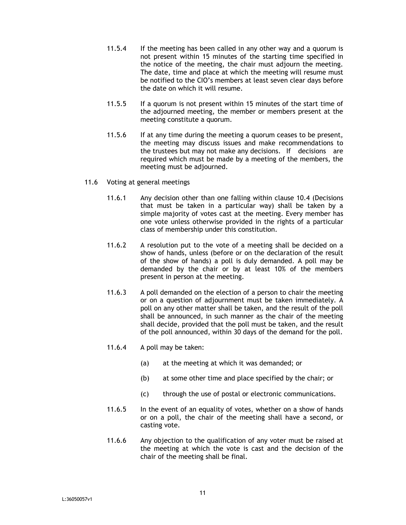- 11.5.4 If the meeting has been called in any other way and a quorum is not present within 15 minutes of the starting time specified in the notice of the meeting, the chair must adjourn the meeting. The date, time and place at which the meeting will resume must be notified to the CIO's members at least seven clear days before the date on which it will resume.
- 11.5.5 If a quorum is not present within 15 minutes of the start time of the adjourned meeting, the member or members present at the meeting constitute a quorum.
- 11.5.6 If at any time during the meeting a quorum ceases to be present, the meeting may discuss issues and make recommendations to the trustees but may not make any decisions. If decisions are required which must be made by a meeting of the members, the meeting must be adjourned.
- 11.6 Voting at general meetings
	- 11.6.1 Any decision other than one falling within clause 10.4 (Decisions that must be taken in a particular way) shall be taken by a simple majority of votes cast at the meeting. Every member has one vote unless otherwise provided in the rights of a particular class of membership under this constitution.
	- 11.6.2 A resolution put to the vote of a meeting shall be decided on a show of hands, unless (before or on the declaration of the result of the show of hands) a poll is duly demanded. A poll may be demanded by the chair or by at least 10% of the members present in person at the meeting.
	- 11.6.3 A poll demanded on the election of a person to chair the meeting or on a question of adjournment must be taken immediately. A poll on any other matter shall be taken, and the result of the poll shall be announced, in such manner as the chair of the meeting shall decide, provided that the poll must be taken, and the result of the poll announced, within 30 days of the demand for the poll.
	- 11.6.4 A poll may be taken:
		- (a) at the meeting at which it was demanded; or
		- (b) at some other time and place specified by the chair; or
		- (c) through the use of postal or electronic communications.
	- 11.6.5 In the event of an equality of votes, whether on a show of hands or on a poll, the chair of the meeting shall have a second, or casting vote.
	- 11.6.6 Any objection to the qualification of any voter must be raised at the meeting at which the vote is cast and the decision of the chair of the meeting shall be final.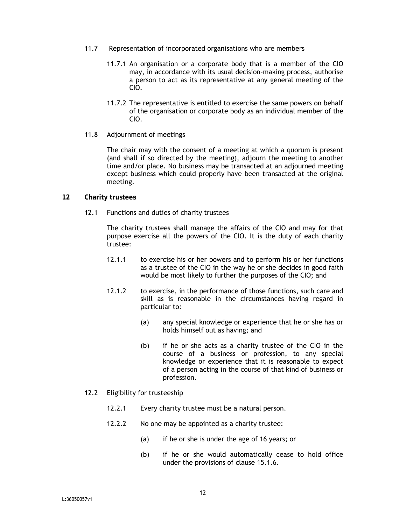- 11.7 Representation of incorporated organisations who are members
	- 11.7.1 An organisation or a corporate body that is a member of the CIO may, in accordance with its usual decision-making process, authorise a person to act as its representative at any general meeting of the CIO.
	- 11.7.2 The representative is entitled to exercise the same powers on behalf of the organisation or corporate body as an individual member of the CIO.
- 11.8 Adjournment of meetings

The chair may with the consent of a meeting at which a quorum is present (and shall if so directed by the meeting), adjourn the meeting to another time and/or place. No business may be transacted at an adjourned meeting except business which could properly have been transacted at the original meeting.

#### **12 Charity trustees**

12.1 Functions and duties of charity trustees

The charity trustees shall manage the affairs of the CIO and may for that purpose exercise all the powers of the CIO. It is the duty of each charity trustee:

- 12.1.1 to exercise his or her powers and to perform his or her functions as a trustee of the CIO in the way he or she decides in good faith would be most likely to further the purposes of the CIO; and
- 12.1.2 to exercise, in the performance of those functions, such care and skill as is reasonable in the circumstances having regard in particular to:
	- (a) any special knowledge or experience that he or she has or holds himself out as having; and
	- (b) if he or she acts as a charity trustee of the CIO in the course of a business or profession, to any special knowledge or experience that it is reasonable to expect of a person acting in the course of that kind of business or profession.
- 12.2 Eligibility for trusteeship
	- 12.2.1 Every charity trustee must be a natural person.
	- 12.2.2 No one may be appointed as a charity trustee:
		- (a) if he or she is under the age of 16 years; or
		- (b) if he or she would automatically cease to hold office under the provisions of clause 15.1.6.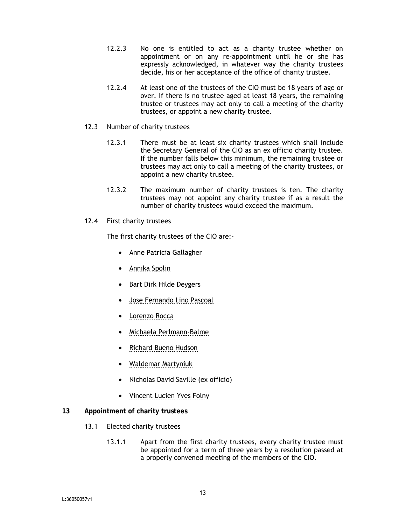- 12.2.3 No one is entitled to act as a charity trustee whether on appointment or on any re-appointment until he or she has expressly acknowledged, in whatever way the charity trustees decide, his or her acceptance of the office of charity trustee.
- 12.2.4 At least one of the trustees of the CIO must be 18 years of age or over. If there is no trustee aged at least 18 years, the remaining trustee or trustees may act only to call a meeting of the charity trustees, or appoint a new charity trustee.
- 12.3 Number of charity trustees
	- 12.3.1 There must be at least six charity trustees which shall include the Secretary General of the CIO as an ex officio charity trustee. If the number falls below this minimum, the remaining trustee or trustees may act only to call a meeting of the charity trustees, or appoint a new charity trustee.
	- 12.3.2 The maximum number of charity trustees is ten. The charity trustees may not appoint any charity trustee if as a result the number of charity trustees would exceed the maximum.
- 12.4 First charity trustees

The first charity trustees of the CIO are:-

- Anne Patricia Gallagher
- Annika Spolin
- Bart Dirk Hilde Deygers
- Jose Fernando Lino Pascoal
- Lorenzo Rocca
- Michaela Perlmann-Balme
- Richard Bueno Hudson
- Waldemar Martyniuk
- Nicholas David Saville (ex officio)
- Vincent Lucien Yves Folny

#### **13 Appointment of charity trustees**

- 13.1 Elected charity trustees
	- 13.1.1 Apart from the first charity trustees, every charity trustee must be appointed for a term of three years by a resolution passed at a properly convened meeting of the members of the CIO.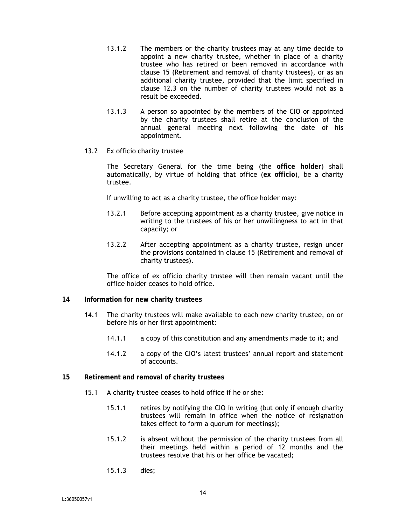- 13.1.2 The members or the charity trustees may at any time decide to appoint a new charity trustee, whether in place of a charity trustee who has retired or been removed in accordance with clause 15 (Retirement and removal of charity trustees), or as an additional charity trustee, provided that the limit specified in clause 12.3 on the number of charity trustees would not as a result be exceeded.
- 13.1.3 A person so appointed by the members of the CIO or appointed by the charity trustees shall retire at the conclusion of the annual general meeting next following the date of his appointment.
- 13.2 Ex officio charity trustee

The Secretary General for the time being (the **office holder**) shall automatically, by virtue of holding that office (**ex officio**), be a charity trustee.

If unwilling to act as a charity trustee, the office holder may:

- 13.2.1 Before accepting appointment as a charity trustee, give notice in writing to the trustees of his or her unwillingness to act in that capacity; or
- 13.2.2 After accepting appointment as a charity trustee, resign under the provisions contained in clause 15 (Retirement and removal of charity trustees).

The office of ex officio charity trustee will then remain vacant until the office holder ceases to hold office.

- **14 Information for new charity trustees** 
	- 14.1 The charity trustees will make available to each new charity trustee, on or before his or her first appointment:
		- 14.1.1 a copy of this constitution and any amendments made to it; and
		- 14.1.2 a copy of the CIO's latest trustees' annual report and statement of accounts.

# **15 Retirement and removal of charity trustees**

- 15.1 A charity trustee ceases to hold office if he or she:
	- 15.1.1 retires by notifying the CIO in writing (but only if enough charity trustees will remain in office when the notice of resignation takes effect to form a quorum for meetings);
	- 15.1.2 is absent without the permission of the charity trustees from all their meetings held within a period of 12 months and the trustees resolve that his or her office be vacated;
	- 15.1.3 dies;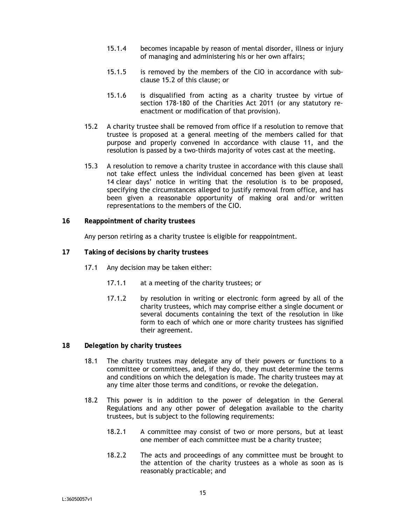- 15.1.4 becomes incapable by reason of mental disorder, illness or injury of managing and administering his or her own affairs;
- 15.1.5 is removed by the members of the CIO in accordance with subclause 15.2 of this clause; or
- 15.1.6 is disqualified from acting as a charity trustee by virtue of section 178-180 of the Charities Act 2011 (or any statutory reenactment or modification of that provision).
- 15.2 A charity trustee shall be removed from office if a resolution to remove that trustee is proposed at a general meeting of the members called for that purpose and properly convened in accordance with clause 11, and the resolution is passed by a two-thirds majority of votes cast at the meeting.
- 15.3 A resolution to remove a charity trustee in accordance with this clause shall not take effect unless the individual concerned has been given at least 14 clear days' notice in writing that the resolution is to be proposed, specifying the circumstances alleged to justify removal from office, and has been given a reasonable opportunity of making oral and/or written representations to the members of the CIO.
- **16 Reappointment of charity trustees**

Any person retiring as a charity trustee is eligible for reappointment.

- **17 Taking of decisions by charity trustees** 
	- 17.1 Any decision may be taken either:
		- 17.1.1 at a meeting of the charity trustees; or
		- 17.1.2 by resolution in writing or electronic form agreed by all of the charity trustees, which may comprise either a single document or several documents containing the text of the resolution in like form to each of which one or more charity trustees has signified their agreement.

#### **18 Delegation by charity trustees**

- 18.1 The charity trustees may delegate any of their powers or functions to a committee or committees, and, if they do, they must determine the terms and conditions on which the delegation is made. The charity trustees may at any time alter those terms and conditions, or revoke the delegation.
- 18.2 This power is in addition to the power of delegation in the General Regulations and any other power of delegation available to the charity trustees, but is subject to the following requirements:
	- 18.2.1 A committee may consist of two or more persons, but at least one member of each committee must be a charity trustee;
	- 18.2.2 The acts and proceedings of any committee must be brought to the attention of the charity trustees as a whole as soon as is reasonably practicable; and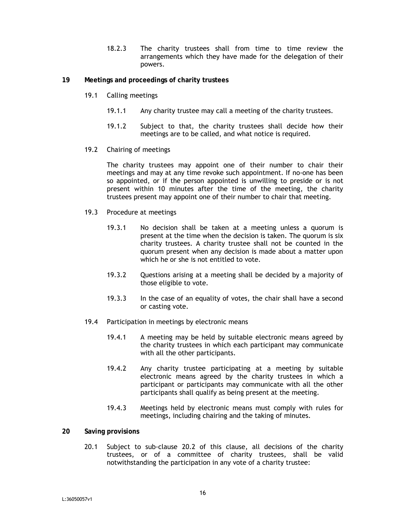- 18.2.3 The charity trustees shall from time to time review the arrangements which they have made for the delegation of their powers.
- **19 Meetings and proceedings of charity trustees** 
	- 19.1 Calling meetings
		- 19.1.1 Any charity trustee may call a meeting of the charity trustees.
		- 19.1.2 Subject to that, the charity trustees shall decide how their meetings are to be called, and what notice is required.
	- 19.2 Chairing of meetings

The charity trustees may appoint one of their number to chair their meetings and may at any time revoke such appointment. If no-one has been so appointed, or if the person appointed is unwilling to preside or is not present within 10 minutes after the time of the meeting, the charity trustees present may appoint one of their number to chair that meeting.

- 19.3 Procedure at meetings
	- 19.3.1 No decision shall be taken at a meeting unless a quorum is present at the time when the decision is taken. The quorum is six charity trustees. A charity trustee shall not be counted in the quorum present when any decision is made about a matter upon which he or she is not entitled to vote.
	- 19.3.2 Questions arising at a meeting shall be decided by a majority of those eligible to vote.
	- 19.3.3 In the case of an equality of votes, the chair shall have a second or casting vote.
- 19.4 Participation in meetings by electronic means
	- 19.4.1 A meeting may be held by suitable electronic means agreed by the charity trustees in which each participant may communicate with all the other participants.
	- 19.4.2 Any charity trustee participating at a meeting by suitable electronic means agreed by the charity trustees in which a participant or participants may communicate with all the other participants shall qualify as being present at the meeting.
	- 19.4.3 Meetings held by electronic means must comply with rules for meetings, including chairing and the taking of minutes.

# **20 Saving provisions**

20.1 Subject to sub-clause 20.2 of this clause, all decisions of the charity trustees, or of a committee of charity trustees, shall be valid notwithstanding the participation in any vote of a charity trustee: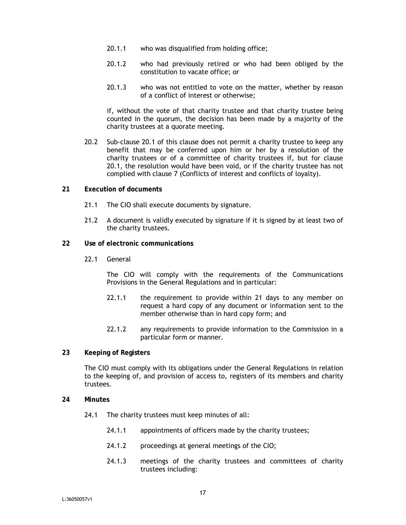- 20.1.1 who was disqualified from holding office;
- 20.1.2 who had previously retired or who had been obliged by the constitution to vacate office; or
- 20.1.3 who was not entitled to vote on the matter, whether by reason of a conflict of interest or otherwise;

if, without the vote of that charity trustee and that charity trustee being counted in the quorum, the decision has been made by a majority of the charity trustees at a quorate meeting.

20.2 Sub-clause 20.1 of this clause does not permit a charity trustee to keep any benefit that may be conferred upon him or her by a resolution of the charity trustees or of a committee of charity trustees if, but for clause 20.1, the resolution would have been void, or if the charity trustee has not complied with clause 7 (Conflicts of interest and conflicts of loyalty).

# **21 Execution of documents**

- 21.1 The CIO shall execute documents by signature.
- 21.2 A document is validly executed by signature if it is signed by at least two of the charity trustees.

#### **22 Use of electronic communications**

22.1 General

The CIO will comply with the requirements of the Communications Provisions in the General Regulations and in particular:

- 22.1.1 the requirement to provide within 21 days to any member on request a hard copy of any document or information sent to the member otherwise than in hard copy form; and
- 22.1.2 any requirements to provide information to the Commission in a particular form or manner.
- **23 Keeping of Registers**

The CIO must comply with its obligations under the General Regulations in relation to the keeping of, and provision of access to, registers of its members and charity trustees.

- **24 Minutes** 
	- 24.1 The charity trustees must keep minutes of all:
		- 24.1.1 appointments of officers made by the charity trustees;
		- 24.1.2 proceedings at general meetings of the CIO;
		- 24.1.3 meetings of the charity trustees and committees of charity trustees including: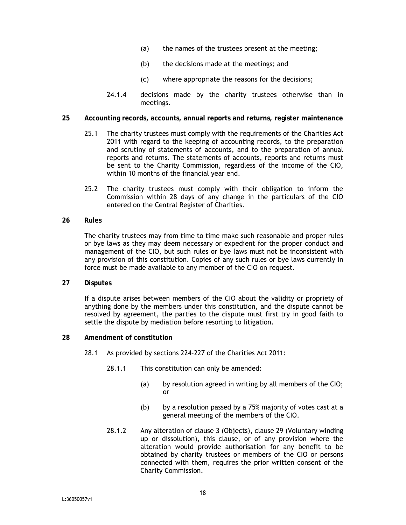- (a) the names of the trustees present at the meeting;
- (b) the decisions made at the meetings; and
- (c) where appropriate the reasons for the decisions;
- 24.1.4 decisions made by the charity trustees otherwise than in meetings.
- **25 Accounting records, accounts, annual reports and returns, register maintenance** 
	- 25.1 The charity trustees must comply with the requirements of the Charities Act 2011 with regard to the keeping of accounting records, to the preparation and scrutiny of statements of accounts, and to the preparation of annual reports and returns. The statements of accounts, reports and returns must be sent to the Charity Commission, regardless of the income of the CIO, within 10 months of the financial year end.
	- 25.2 The charity trustees must comply with their obligation to inform the Commission within 28 days of any change in the particulars of the CIO entered on the Central Register of Charities.

# **26 Rules**

The charity trustees may from time to time make such reasonable and proper rules or bye laws as they may deem necessary or expedient for the proper conduct and management of the CIO, but such rules or bye laws must not be inconsistent with any provision of this constitution. Copies of any such rules or bye laws currently in force must be made available to any member of the CIO on request.

# **27 Disputes**

If a dispute arises between members of the CIO about the validity or propriety of anything done by the members under this constitution, and the dispute cannot be resolved by agreement, the parties to the dispute must first try in good faith to settle the dispute by mediation before resorting to litigation.

#### **28 Amendment of constitution**

- 28.1 As provided by sections 224-227 of the Charities Act 2011:
	- 28.1.1 This constitution can only be amended:
		- (a) by resolution agreed in writing by all members of the CIO; or
		- (b) by a resolution passed by a 75% majority of votes cast at a general meeting of the members of the CIO.
	- 28.1.2 Any alteration of clause 3 (Objects), clause 29 (Voluntary winding up or dissolution), this clause, or of any provision where the alteration would provide authorisation for any benefit to be obtained by charity trustees or members of the CIO or persons connected with them, requires the prior written consent of the Charity Commission.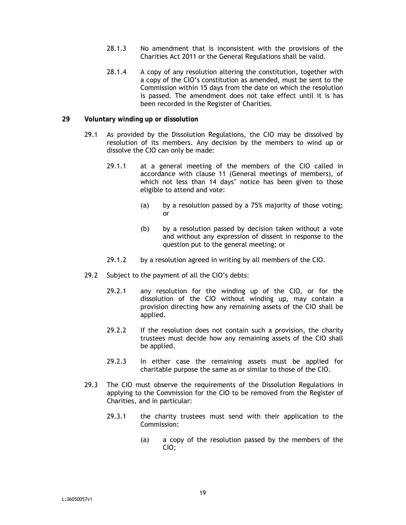- 28.1.3 No amendment that is inconsistent with the provisions of the Charities Act 2011 or the General Regulations shall be valid.
- 28.1.4 A copy of any resolution altering the constitution, together with a copy of the CIO's constitution as amended, must be sent to the Commission within 15 days from the date on which the resolution is passed. The amendment does not take effect until it is has been recorded in the Register of Charities.

# **29 Voluntary winding up or dissolution**

- 29.1 As provided by the Dissolution Regulations, the CIO may be dissolved by resolution of its members. Any decision by the members to wind up or dissolve the CIO can only be made:
	- 29.1.1 at a general meeting of the members of the CIO called in accordance with clause 11 (General meetings of members), of which not less than 14 days' notice has been given to those eligible to attend and vote:
		- (a) by a resolution passed by a 75% majority of those voting; or
		- (b) by a resolution passed by decision taken without a vote and without any expression of dissent in response to the question put to the general meeting; or
	- 29.1.2 by a resolution agreed in writing by all members of the CIO.
- 29.2 Subject to the payment of all the CIO's debts:
	- 29.2.1 any resolution for the winding up of the CIO, or for the dissolution of the CIO without winding up, may contain a provision directing how any remaining assets of the CIO shall be applied.
	- 29.2.2 If the resolution does not contain such a provision, the charity trustees must decide how any remaining assets of the CIO shall be applied.
	- 29.2.3 In either case the remaining assets must be applied for charitable purpose the same as or similar to those of the CIO.
- 29.3 The CIO must observe the requirements of the Dissolution Regulations in applying to the Commission for the CIO to be removed from the Register of Charities, and in particular:
	- 29.3.1 the charity trustees must send with their application to the Commission:
		- (a) a copy of the resolution passed by the members of the CIO;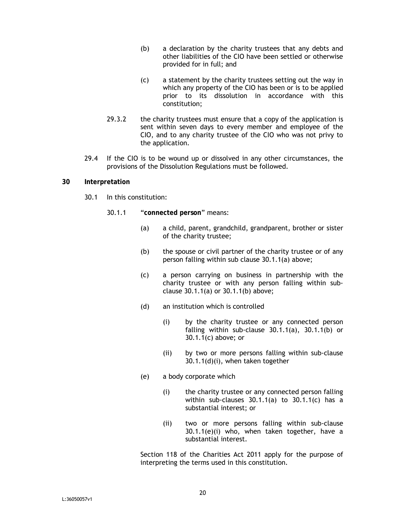- (b) a declaration by the charity trustees that any debts and other liabilities of the CIO have been settled or otherwise provided for in full; and
- (c) a statement by the charity trustees setting out the way in which any property of the CIO has been or is to be applied prior to its dissolution in accordance with this constitution;
- 29.3.2 the charity trustees must ensure that a copy of the application is sent within seven days to every member and employee of the CIO, and to any charity trustee of the CIO who was not privy to the application.
- 29.4 If the CIO is to be wound up or dissolved in any other circumstances, the provisions of the Dissolution Regulations must be followed.

# **30 Interpretation**

- 30.1 In this constitution:
	- 30.1.1 "**connected person**" means:
		- (a) a child, parent, grandchild, grandparent, brother or sister of the charity trustee;
		- (b) the spouse or civil partner of the charity trustee or of any person falling within sub clause 30.1.1(a) above;
		- (c) a person carrying on business in partnership with the charity trustee or with any person falling within subclause 30.1.1(a) or 30.1.1(b) above;
		- (d) an institution which is controlled
			- (i) by the charity trustee or any connected person falling within sub-clause 30.1.1(a), 30.1.1(b) or 30.1.1(c) above; or
			- (ii) by two or more persons falling within sub-clause 30.1.1(d)(i), when taken together
		- (e) a body corporate which
			- (i) the charity trustee or any connected person falling within sub-clauses 30.1.1(a) to 30.1.1(c) has a substantial interest; or
			- (ii) two or more persons falling within sub-clause 30.1.1(e)(i) who, when taken together, have a substantial interest.

Section 118 of the Charities Act 2011 apply for the purpose of interpreting the terms used in this constitution.